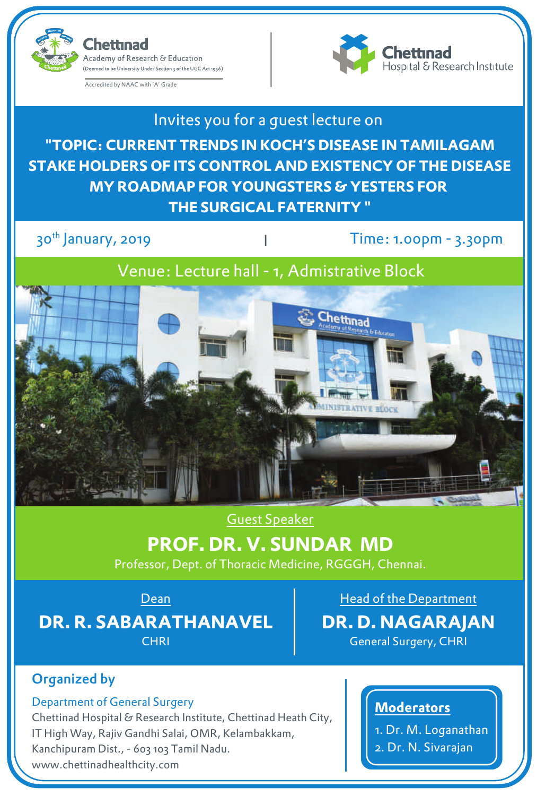(Deemed to be University Under Section 3 of the UGC Act 1956)

Accredited by NAAC with 'A' Grade

Academy of Research & Education

hettinad



Invites you for a guest lecture on **"TOPIC: CURRENT TRENDS IN KOCH'S DISEASE IN TAMILAGAM STAKE HOLDERS OF ITS CONTROL AND EXISTENCY OF THE DISEASE MY ROADMAP FOR YOUNGSTERS & YESTERS FOR THE SURGICAL FATERNITY "**

30<sup>th</sup> January, 2019

Time: 1.00pm - 3.30pm

Venue: Lecture hall - 1, Admistrative Block



## Guest Speaker

# **PROF. DR. V. SUNDAR MD**

Professor, Dept. of Thoracic Medicine, RGGGH, Chennai.

**Dean** 

**DR. R. SABARATHANAVEL CHRI** 

Head of the Department **DR. D. NAGARAJAN** General Surgery, CHRI

# Organized by

#### Department of General Surgery

Chettinad Hospital & Research Institute, Chettinad Heath City, IT High Way, Rajiv Gandhi Salai, OMR, Kelambakkam, Kanchipuram Dist., - 603 103 Tamil Nadu. www.chettinadhealthcity.com

### **Moderators**

1. Dr. M. Loganathan

2. Dr. N. Sivarajan